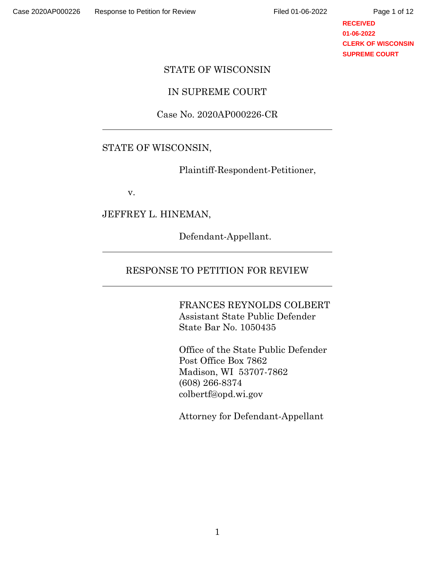**RECEIVED 01-06-2022 CLERK OF WISCONSIN SUPREME COURT**

#### STATE OF WISCONSIN

## IN SUPREME COURT

#### Case No. 2020AP000226-CR

#### STATE OF WISCONSIN,

Plaintiff-Respondent-Petitioner,

v.

## JEFFREY L. HINEMAN,

Defendant-Appellant.

## RESPONSE TO PETITION FOR REVIEW

FRANCES REYNOLDS COLBERT Assistant State Public Defender State Bar No. 1050435

Office of the State Public Defender Post Office Box 7862 Madison, WI 53707-7862 (608) 266-8374 colbertf@opd.wi.gov

Attorney for Defendant-Appellant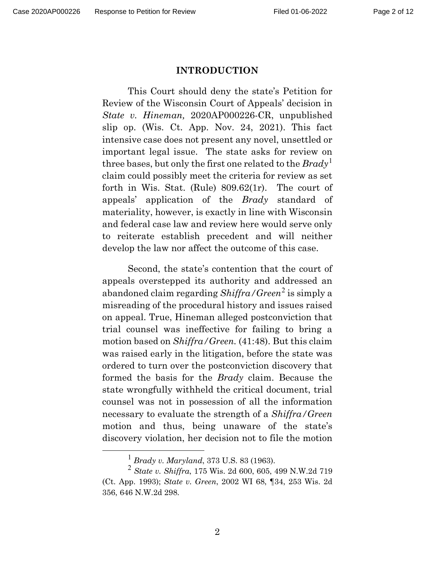#### **INTRODUCTION**

This Court should deny the state's Petition for Review of the Wisconsin Court of Appeals' decision in *State v. Hineman,* 2020AP000226-CR, unpublished slip op. (Wis. Ct. App. Nov. 24, 2021). This fact intensive case does not present any novel, unsettled or important legal issue. The state asks for review on three bases, but only the first one related to the *Brady*[1](#page-1-0) claim could possibly meet the criteria for review as set forth in Wis. Stat. (Rule) 809.62(1r). The court of appeals' application of the *Brady* standard of materiality, however, is exactly in line with Wisconsin and federal case law and review here would serve only to reiterate establish precedent and will neither develop the law nor affect the outcome of this case.

Second, the state's contention that the court of appeals overstepped its authority and addressed an abandoned claim regarding *Shiffra/Green*[2](#page-1-1) is simply a misreading of the procedural history and issues raised on appeal. True, Hineman alleged postconviction that trial counsel was ineffective for failing to bring a motion based on *Shiffra/Green.* (41:48). But this claim was raised early in the litigation, before the state was ordered to turn over the postconviction discovery that formed the basis for the *Brady* claim. Because the state wrongfully withheld the critical document, trial counsel was not in possession of all the information necessary to evaluate the strength of a *Shiffra/Green*  motion and thus, being unaware of the state's discovery violation, her decision not to file the motion

<span id="page-1-1"></span><span id="page-1-0"></span><sup>1</sup> *Brady v. Maryland*, 373 U.S. 83 (1963). <sup>2</sup> *State v. Shiffra*, 175 Wis. 2d 600, 605, 499 N.W.2d 719 (Ct. App. 1993); *State v. Green*, 2002 WI 68, ¶34, 253 Wis. 2d 356, 646 N.W.2d 298.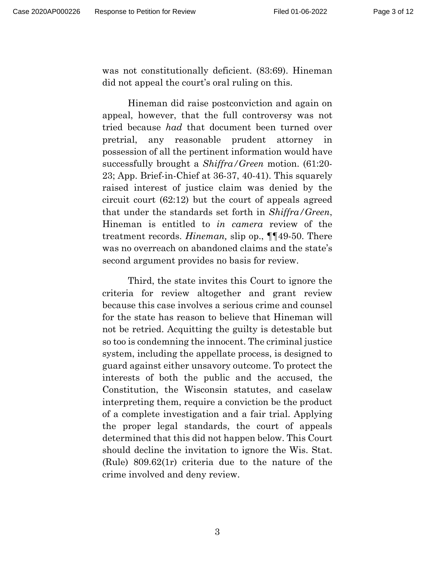was not constitutionally deficient. (83:69). Hineman did not appeal the court's oral ruling on this.

Hineman did raise postconviction and again on appeal, however, that the full controversy was not tried because *had* that document been turned over pretrial, any reasonable prudent attorney in possession of all the pertinent information would have successfully brought a *Shiffra/Green* motion. (61:20- 23; App. Brief-in-Chief at 36-37, 40-41). This squarely raised interest of justice claim was denied by the circuit court (62:12) but the court of appeals agreed that under the standards set forth in *Shiffra/Green*, Hineman is entitled to *in camera* review of the treatment records. *Hineman,* slip op., ¶¶49-50. There was no overreach on abandoned claims and the state's second argument provides no basis for review.

Third, the state invites this Court to ignore the criteria for review altogether and grant review because this case involves a serious crime and counsel for the state has reason to believe that Hineman will not be retried. Acquitting the guilty is detestable but so too is condemning the innocent. The criminal justice system, including the appellate process, is designed to guard against either unsavory outcome. To protect the interests of both the public and the accused, the Constitution, the Wisconsin statutes, and caselaw interpreting them, require a conviction be the product of a complete investigation and a fair trial. Applying the proper legal standards, the court of appeals determined that this did not happen below. This Court should decline the invitation to ignore the Wis. Stat. (Rule) 809.62(1r) criteria due to the nature of the crime involved and deny review.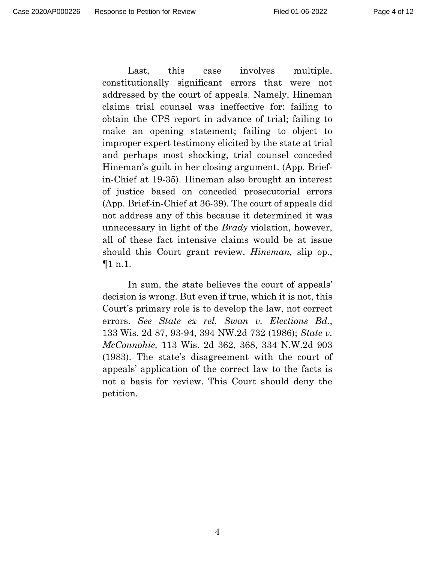Last, this case involves multiple, constitutionally significant errors that were not addressed by the court of appeals. Namely, Hineman claims trial counsel was ineffective for: failing to obtain the CPS report in advance of trial; failing to make an opening statement; failing to object to improper expert testimony elicited by the state at trial and perhaps most shocking, trial counsel conceded Hineman's guilt in her closing argument. (App. Briefin-Chief at 19-35). Hineman also brought an interest of justice based on conceded prosecutorial errors (App. Brief-in-Chief at 36-39). The court of appeals did not address any of this because it determined it was unnecessary in light of the *Brady* violation, however, all of these fact intensive claims would be at issue should this Court grant review. *Hineman,* slip op., ¶1 n.1.

In sum, the state believes the court of appeals' decision is wrong. But even if true, which it is not, this Court's primary role is to develop the law, not correct errors. *See State ex rel. Swan v. Elections Bd.*, 133 Wis. 2d 87, 93-94, 394 NW.2d 732 (1986); *State v. McConnohie,* 113 Wis. 2d 362, 368, 334 N.W.2d 903 (1983). The state's disagreement with the court of appeals' application of the correct law to the facts is not a basis for review. This Court should deny the petition.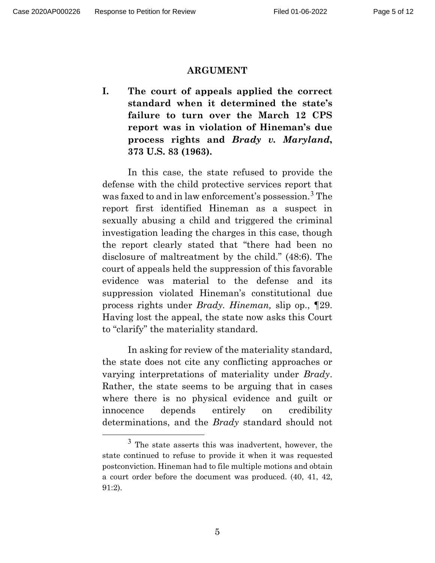#### **ARGUMENT**

**I. The court of appeals applied the correct standard when it determined the state's failure to turn over the March 12 CPS report was in violation of Hineman's due process rights and** *Brady v. Maryland***, 373 U.S. 83 (1963).**

In this case, the state refused to provide the defense with the child protective services report that was faxed to and in law enforcement's possession.<sup>[3](#page-4-0)</sup> The report first identified Hineman as a suspect in sexually abusing a child and triggered the criminal investigation leading the charges in this case, though the report clearly stated that "there had been no disclosure of maltreatment by the child." (48:6). The court of appeals held the suppression of this favorable evidence was material to the defense and its suppression violated Hineman's constitutional due process rights under *Brady. Hineman,* slip op., ¶29. Having lost the appeal, the state now asks this Court to "clarify" the materiality standard.

In asking for review of the materiality standard, the state does not cite any conflicting approaches or varying interpretations of materiality under *Brady*. Rather, the state seems to be arguing that in cases where there is no physical evidence and guilt or innocence depends entirely on credibility determinations, and the *Brady* standard should not

<span id="page-4-0"></span><sup>3</sup> The state asserts this was inadvertent, however, the state continued to refuse to provide it when it was requested postconviction. Hineman had to file multiple motions and obtain a court order before the document was produced. (40, 41, 42, 91:2).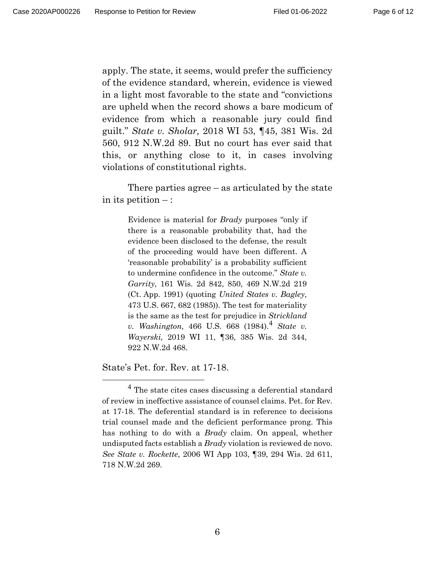Page 6 of 12

apply. The state, it seems, would prefer the sufficiency of the evidence standard, wherein, evidence is viewed in a light most favorable to the state and "convictions are upheld when the record shows a bare modicum of evidence from which a reasonable jury could find guilt." *State v. Sholar,* 2018 WI 53, ¶45, 381 Wis. 2d 560, 912 N.W.2d 89. But no court has ever said that this, or anything close to it, in cases involving violations of constitutional rights.

There parties agree – as articulated by the state in its petition  $-$ :

> Evidence is material for *Brady* purposes "only if there is a reasonable probability that, had the evidence been disclosed to the defense, the result of the proceeding would have been different. A 'reasonable probability' is a probability sufficient to undermine confidence in the outcome." *State v. Garrity*, 161 Wis. 2d 842, 850, 469 N.W.2d 219 (Ct. App. 1991) (quoting *United States v. Bagley*, 473 U.S. 667, 682 (1985)). The test for materiality is the same as the test for prejudice in *Strickland v. Washington,* [4](#page-5-0)66 U.S. 668 (1984).<sup>4</sup> *State v. Wayerski,* 2019 WI 11, ¶36, 385 Wis. 2d 344, 922 N.W.2d 468.

State's Pet. for. Rev. at 17-18.

<span id="page-5-0"></span><sup>4</sup> The state cites cases discussing a deferential standard of review in ineffective assistance of counsel claims. Pet. for Rev. at 17-18. The deferential standard is in reference to decisions trial counsel made and the deficient performance prong. This has nothing to do with a *Brady* claim. On appeal, whether undisputed facts establish a *Brady* violation is reviewed de novo. *See State v. Rockette*, 2006 WI App 103, ¶39, 294 Wis. 2d 611, 718 N.W.2d 269.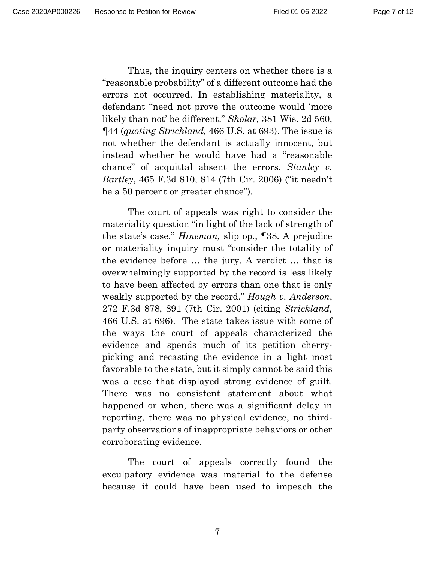Page 7 of 12

Thus, the inquiry centers on whether there is a "reasonable probability" of a different outcome had the errors not occurred. In establishing materiality, a defendant "need not prove the outcome would 'more likely than not' be different." *Sholar,* 381 Wis. 2d 560, ¶44 (*quoting Strickland,* 466 U.S. at 693). The issue is not whether the defendant is actually innocent, but instead whether he would have had a "reasonable chance" of acquittal absent the errors. *Stanley v. Bartley*, 465 F.3d 810, 814 (7th Cir. 2006) ("it needn't be a 50 percent or greater chance").

The court of appeals was right to consider the materiality question "in light of the lack of strength of the state's case." *Hineman,* slip op., ¶38. A prejudice or materiality inquiry must "consider the totality of the evidence before … the jury. A verdict … that is overwhelmingly supported by the record is less likely to have been affected by errors than one that is only weakly supported by the record." *Hough v. Anderson*, 272 F.3d 878, 891 (7th Cir. 2001) (citing *Strickland,* 466 U.S. at 696). The state takes issue with some of the ways the court of appeals characterized the evidence and spends much of its petition cherrypicking and recasting the evidence in a light most favorable to the state, but it simply cannot be said this was a case that displayed strong evidence of guilt. There was no consistent statement about what happened or when, there was a significant delay in reporting, there was no physical evidence, no thirdparty observations of inappropriate behaviors or other corroborating evidence.

The court of appeals correctly found the exculpatory evidence was material to the defense because it could have been used to impeach the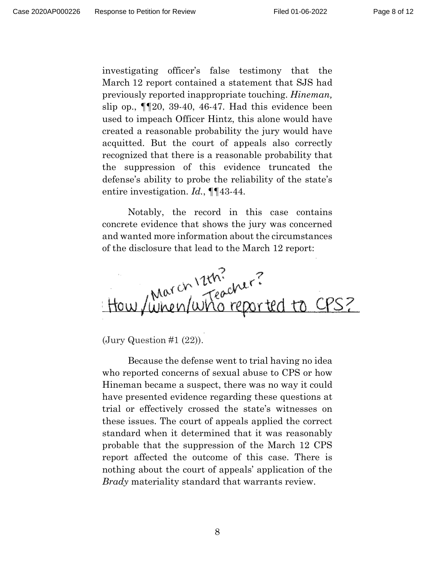investigating officer's false testimony that the March 12 report contained a statement that SJS had previously reported inappropriate touching. *Hineman,*  slip op.,  $\P$ [20, 39-40, 46-47. Had this evidence been used to impeach Officer Hintz, this alone would have created a reasonable probability the jury would have acquitted. But the court of appeals also correctly recognized that there is a reasonable probability that the suppression of this evidence truncated the defense's ability to probe the reliability of the state's entire investigation. *Id.*, ¶¶43-44.

Notably, the record in this case contains concrete evidence that shows the jury was concerned and wanted more information about the circumstances of the disclosure that lead to the March 12 report:



 $\text{(Jury Question #1 (22))}.$ 

Because the defense went to trial having no idea who reported concerns of sexual abuse to CPS or how Hineman became a suspect, there was no way it could have presented evidence regarding these questions at trial or effectively crossed the state's witnesses on these issues. The court of appeals applied the correct standard when it determined that it was reasonably probable that the suppression of the March 12 CPS report affected the outcome of this case. There is nothing about the court of appeals' application of the *Brady* materiality standard that warrants review.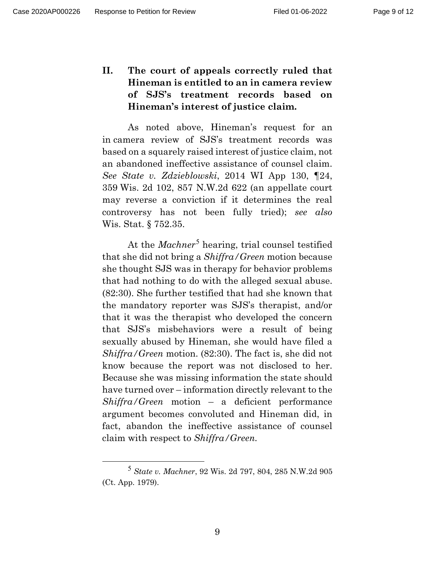**II. The court of appeals correctly ruled that Hineman is entitled to an in camera review of SJS's treatment records based on Hineman's interest of justice claim.** 

As noted above, Hineman's request for an in camera review of SJS's treatment records was based on a squarely raised interest of justice claim, not an abandoned ineffective assistance of counsel claim. *See State v. Zdzieblowski*, 2014 WI App 130, ¶24, 359 Wis. 2d 102, 857 N.W.2d 622 (an appellate court may reverse a conviction if it determines the real controversy has not been fully tried); *see also* Wis. Stat. § 752.35.

At the *Machner*<sup>[5](#page-8-0)</sup> hearing, trial counsel testified that she did not bring a *Shiffra/Green* motion because she thought SJS was in therapy for behavior problems that had nothing to do with the alleged sexual abuse. (82:30). She further testified that had she known that the mandatory reporter was SJS's therapist, and/or that it was the therapist who developed the concern that SJS's misbehaviors were a result of being sexually abused by Hineman, she would have filed a *Shiffra/Green* motion. (82:30). The fact is, she did not know because the report was not disclosed to her. Because she was missing information the state should have turned over – information directly relevant to the *Shiffra/Green* motion – a deficient performance argument becomes convoluted and Hineman did, in fact, abandon the ineffective assistance of counsel claim with respect to *Shiffra/Green.*

<span id="page-8-0"></span><sup>5</sup> *State v. Machner*, 92 Wis. 2d 797, 804, 285 N.W.2d 905 (Ct. App. 1979).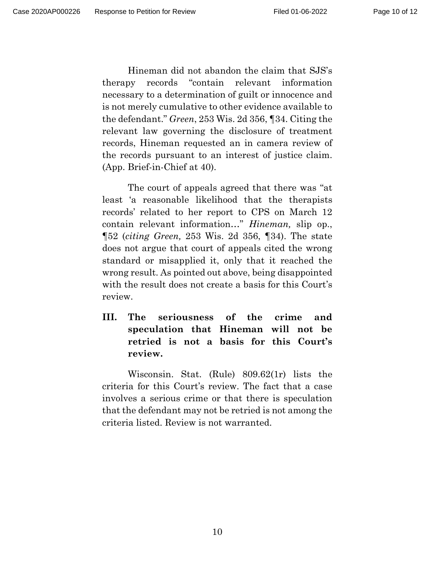Hineman did not abandon the claim that SJS's therapy records "contain relevant information necessary to a determination of guilt or innocence and is not merely cumulative to other evidence available to the defendant." *Green*, 253 Wis. 2d 356, ¶34. Citing the relevant law governing the disclosure of treatment records, Hineman requested an in camera review of the records pursuant to an interest of justice claim. (App. Brief-in-Chief at 40).

The court of appeals agreed that there was "at least 'a reasonable likelihood that the therapists records' related to her report to CPS on March 12 contain relevant information…" *Hineman,* slip op., ¶52 (*citing Green,* 253 Wis. 2d 356, ¶34). The state does not argue that court of appeals cited the wrong standard or misapplied it, only that it reached the wrong result. As pointed out above, being disappointed with the result does not create a basis for this Court's review.

**III. The seriousness of the crime and speculation that Hineman will not be retried is not a basis for this Court's review.** 

Wisconsin. Stat. (Rule) 809.62(1r) lists the criteria for this Court's review. The fact that a case involves a serious crime or that there is speculation that the defendant may not be retried is not among the criteria listed. Review is not warranted.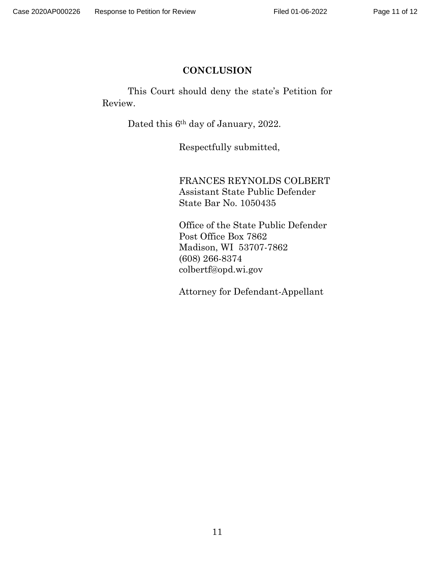# **CONCLUSION**

This Court should deny the state's Petition for Review.

Dated this 6th day of January, 2022.

Respectfully submitted,

FRANCES REYNOLDS COLBERT Assistant State Public Defender State Bar No. 1050435

Office of the State Public Defender Post Office Box 7862 Madison, WI 53707-7862 (608) 266-8374 colbertf@opd.wi.gov

Attorney for Defendant-Appellant